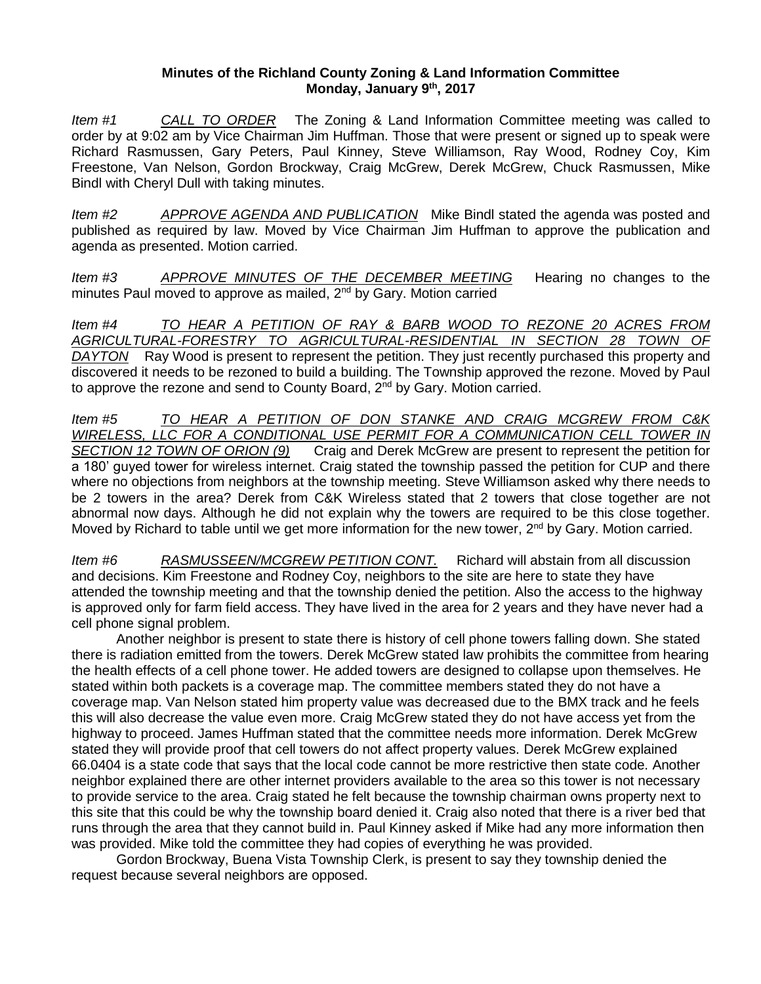## **Minutes of the Richland County Zoning & Land Information Committee Monday, January 9th, 2017**

*Item #1 CALL TO ORDER* The Zoning & Land Information Committee meeting was called to order by at 9:02 am by Vice Chairman Jim Huffman. Those that were present or signed up to speak were Richard Rasmussen, Gary Peters, Paul Kinney, Steve Williamson, Ray Wood, Rodney Coy, Kim Freestone, Van Nelson, Gordon Brockway, Craig McGrew, Derek McGrew, Chuck Rasmussen, Mike Bindl with Cheryl Dull with taking minutes.

*Item #2 APPROVE AGENDA AND PUBLICATION* Mike Bindl stated the agenda was posted and published as required by law. Moved by Vice Chairman Jim Huffman to approve the publication and agenda as presented. Motion carried.

*Item #3 APPROVE MINUTES OF THE DECEMBER MEETING* Hearing no changes to the minutes Paul moved to approve as mailed, 2<sup>nd</sup> by Gary. Motion carried

*Item #4 TO HEAR A PETITION OF RAY & BARB WOOD TO REZONE 20 ACRES FROM AGRICULTURAL-FORESTRY TO AGRICULTURAL-RESIDENTIAL IN SECTION 28 TOWN OF DAYTON* Ray Wood is present to represent the petition. They just recently purchased this property and discovered it needs to be rezoned to build a building. The Township approved the rezone. Moved by Paul to approve the rezone and send to County Board, 2<sup>nd</sup> by Gary. Motion carried.

*Item #5 TO HEAR A PETITION OF DON STANKE AND CRAIG MCGREW FROM C&K WIRELESS, LLC FOR A CONDITIONAL USE PERMIT FOR A COMMUNICATION CELL TOWER IN SECTION 12 TOWN OF ORION (9)* Craig and Derek McGrew are present to represent the petition for a 180' guyed tower for wireless internet. Craig stated the township passed the petition for CUP and there where no objections from neighbors at the township meeting. Steve Williamson asked why there needs to be 2 towers in the area? Derek from C&K Wireless stated that 2 towers that close together are not abnormal now days. Although he did not explain why the towers are required to be this close together. Moved by Richard to table until we get more information for the new tower,  $2^{nd}$  by Gary. Motion carried.

*Item #6 RASMUSSEEN/MCGREW PETITION CONT.* Richard will abstain from all discussion and decisions. Kim Freestone and Rodney Coy, neighbors to the site are here to state they have attended the township meeting and that the township denied the petition. Also the access to the highway is approved only for farm field access. They have lived in the area for 2 years and they have never had a cell phone signal problem.

Another neighbor is present to state there is history of cell phone towers falling down. She stated there is radiation emitted from the towers. Derek McGrew stated law prohibits the committee from hearing the health effects of a cell phone tower. He added towers are designed to collapse upon themselves. He stated within both packets is a coverage map. The committee members stated they do not have a coverage map. Van Nelson stated him property value was decreased due to the BMX track and he feels this will also decrease the value even more. Craig McGrew stated they do not have access yet from the highway to proceed. James Huffman stated that the committee needs more information. Derek McGrew stated they will provide proof that cell towers do not affect property values. Derek McGrew explained 66.0404 is a state code that says that the local code cannot be more restrictive then state code. Another neighbor explained there are other internet providers available to the area so this tower is not necessary to provide service to the area. Craig stated he felt because the township chairman owns property next to this site that this could be why the township board denied it. Craig also noted that there is a river bed that runs through the area that they cannot build in. Paul Kinney asked if Mike had any more information then was provided. Mike told the committee they had copies of everything he was provided.

Gordon Brockway, Buena Vista Township Clerk, is present to say they township denied the request because several neighbors are opposed.